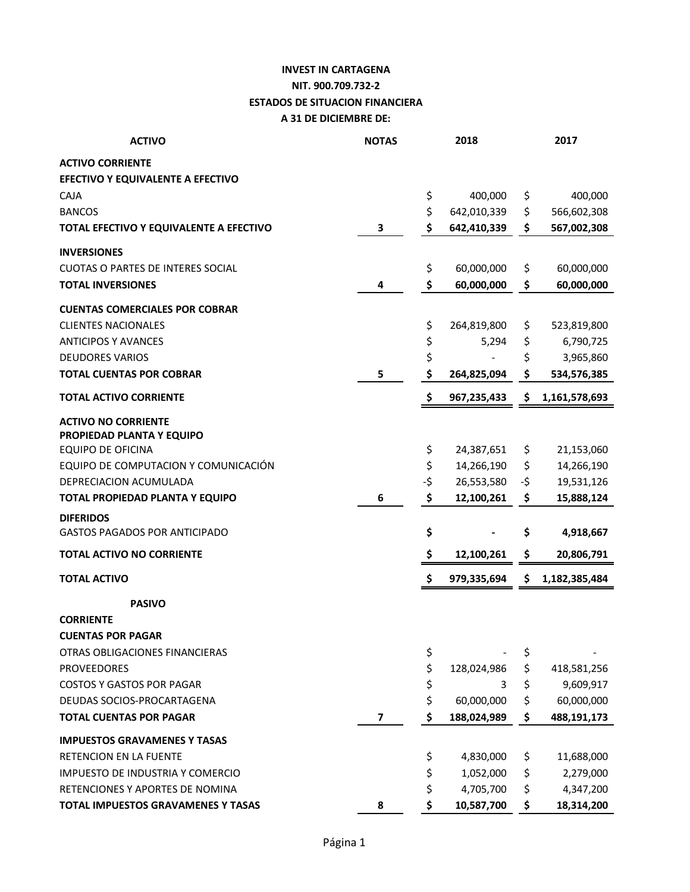## **INVEST IN CARTAGENA NIT. 900.709.732-2 ESTADOS DE SITUACION FINANCIERA A 31 DE DICIEMBRE DE:**

| <b>ACTIVO</b>                            | <b>NOTAS</b> |     | 2018        |     | 2017          |
|------------------------------------------|--------------|-----|-------------|-----|---------------|
| <b>ACTIVO CORRIENTE</b>                  |              |     |             |     |               |
| EFECTIVO Y EQUIVALENTE A EFECTIVO        |              |     |             |     |               |
| CAJA                                     |              | \$  | 400,000     | \$  | 400,000       |
| <b>BANCOS</b>                            |              | \$  | 642,010,339 | \$  | 566,602,308   |
| TOTAL EFECTIVO Y EQUIVALENTE A EFECTIVO  | 3            | \$  | 642,410,339 | \$  | 567,002,308   |
| <b>INVERSIONES</b>                       |              |     |             |     |               |
| <b>CUOTAS O PARTES DE INTERES SOCIAL</b> |              | \$  | 60,000,000  | \$  | 60,000,000    |
| <b>TOTAL INVERSIONES</b>                 | 4            | \$  | 60,000,000  | \$  | 60,000,000    |
| <b>CUENTAS COMERCIALES POR COBRAR</b>    |              |     |             |     |               |
| <b>CLIENTES NACIONALES</b>               |              | \$  | 264,819,800 | \$  | 523,819,800   |
| <b>ANTICIPOS Y AVANCES</b>               |              | \$  | 5,294       | \$  | 6,790,725     |
| <b>DEUDORES VARIOS</b>                   |              | \$  |             | \$  | 3,965,860     |
| <b>TOTAL CUENTAS POR COBRAR</b>          | 5            | \$  | 264,825,094 | \$  | 534,576,385   |
| <b>TOTAL ACTIVO CORRIENTE</b>            |              | \$  | 967,235,433 | \$  | 1,161,578,693 |
| <b>ACTIVO NO CORRIENTE</b>               |              |     |             |     |               |
| PROPIEDAD PLANTA Y EQUIPO                |              |     |             |     |               |
| <b>EQUIPO DE OFICINA</b>                 |              | \$  | 24,387,651  | \$  | 21,153,060    |
| EQUIPO DE COMPUTACION Y COMUNICACIÓN     |              | \$  | 14,266,190  | \$  | 14,266,190    |
| DEPRECIACION ACUMULADA                   |              | -\$ | 26,553,580  | -\$ | 19,531,126    |
| TOTAL PROPIEDAD PLANTA Y EQUIPO          | 6            | \$  | 12,100,261  | \$  | 15,888,124    |
| <b>DIFERIDOS</b>                         |              |     |             |     |               |
| <b>GASTOS PAGADOS POR ANTICIPADO</b>     |              | \$  |             | Ş   | 4,918,667     |
| <b>TOTAL ACTIVO NO CORRIENTE</b>         |              | \$  | 12,100,261  | \$  | 20,806,791    |
| <b>TOTAL ACTIVO</b>                      |              | \$  | 979,335,694 | \$  | 1,182,385,484 |
| <b>PASIVO</b>                            |              |     |             |     |               |
| <b>CORRIENTE</b>                         |              |     |             |     |               |
| <b>CUENTAS POR PAGAR</b>                 |              |     |             |     |               |
| OTRAS OBLIGACIONES FINANCIERAS           |              | \$  |             | \$  |               |
| <b>PROVEEDORES</b>                       |              | \$  | 128,024,986 | \$  | 418,581,256   |
| <b>COSTOS Y GASTOS POR PAGAR</b>         |              | \$  | 3           | \$  | 9,609,917     |
| DEUDAS SOCIOS-PROCARTAGENA               |              | \$  | 60,000,000  | \$  | 60,000,000    |
| <b>TOTAL CUENTAS POR PAGAR</b>           | 7            | \$  | 188,024,989 | \$  | 488,191,173   |
| <b>IMPUESTOS GRAVAMENES Y TASAS</b>      |              |     |             |     |               |
| RETENCION EN LA FUENTE                   |              | \$  | 4,830,000   | \$  | 11,688,000    |
| IMPUESTO DE INDUSTRIA Y COMERCIO         |              | \$  | 1,052,000   | \$  | 2,279,000     |
| RETENCIONES Y APORTES DE NOMINA          |              | \$  | 4,705,700   | \$  | 4,347,200     |
| TOTAL IMPUESTOS GRAVAMENES Y TASAS       | 8            | \$  | 10,587,700  | \$  | 18,314,200    |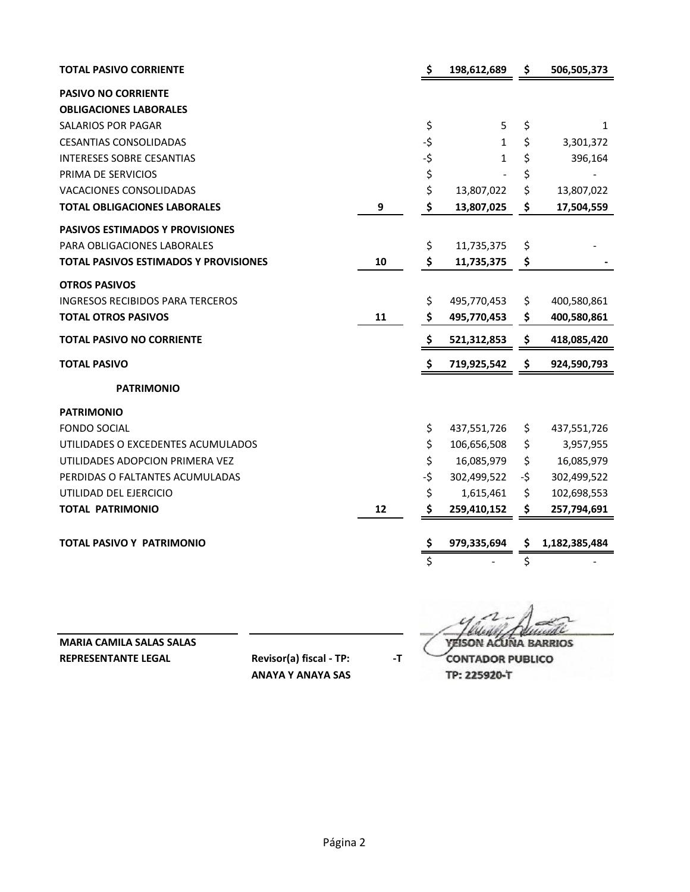| TOTAL PASIVO CORRIENTE                  |    | \$  | 198,612,689 | \$  | 506,505,373   |
|-----------------------------------------|----|-----|-------------|-----|---------------|
| <b>PASIVO NO CORRIENTE</b>              |    |     |             |     |               |
| <b>OBLIGACIONES LABORALES</b>           |    |     |             |     |               |
| <b>SALARIOS POR PAGAR</b>               |    | \$  | 5           | \$  | 1             |
| <b>CESANTIAS CONSOLIDADAS</b>           |    | -\$ | 1           | \$  | 3,301,372     |
| <b>INTERESES SOBRE CESANTIAS</b>        |    | -\$ | 1           | \$  | 396,164       |
| PRIMA DE SERVICIOS                      |    | \$  |             | \$  |               |
| <b>VACACIONES CONSOLIDADAS</b>          |    | \$  | 13,807,022  | \$  | 13,807,022    |
| <b>TOTAL OBLIGACIONES LABORALES</b>     | 9  | \$  | 13,807,025  | \$  | 17,504,559    |
| PASIVOS ESTIMADOS Y PROVISIONES         |    |     |             |     |               |
| PARA OBLIGACIONES LABORALES             |    | \$  | 11,735,375  | \$  |               |
| TOTAL PASIVOS ESTIMADOS Y PROVISIONES   | 10 | \$  | 11,735,375  | \$  |               |
| <b>OTROS PASIVOS</b>                    |    |     |             |     |               |
| <b>INGRESOS RECIBIDOS PARA TERCEROS</b> |    | \$  | 495,770,453 | \$  | 400,580,861   |
| <b>TOTAL OTROS PASIVOS</b>              | 11 | \$  | 495,770,453 | \$  | 400,580,861   |
| <b>TOTAL PASIVO NO CORRIENTE</b>        |    | \$  | 521,312,853 | \$  | 418,085,420   |
| <b>TOTAL PASIVO</b>                     |    | \$  | 719,925,542 | \$  | 924,590,793   |
| <b>PATRIMONIO</b>                       |    |     |             |     |               |
| <b>PATRIMONIO</b>                       |    |     |             |     |               |
| <b>FONDO SOCIAL</b>                     |    | \$  | 437,551,726 | \$  | 437,551,726   |
| UTILIDADES O EXCEDENTES ACUMULADOS      |    | \$  | 106,656,508 | \$  | 3,957,955     |
| UTILIDADES ADOPCION PRIMERA VEZ         |    | \$  | 16,085,979  | \$  | 16,085,979    |
| PERDIDAS O FALTANTES ACUMULADAS         |    | -\$ | 302,499,522 | -\$ | 302,499,522   |
| UTILIDAD DEL EJERCICIO                  |    | \$  | 1,615,461   | \$  | 102,698,553   |
| <b>TOTAL PATRIMONIO</b>                 | 12 | \$  | 259,410,152 | \$  | 257,794,691   |
|                                         |    |     |             |     |               |
| <b>TOTAL PASIVO Y PATRIMONIO</b>        |    | \$  | 979,335,694 | \$  | 1,182,385,484 |
|                                         |    | \$  |             | \$  |               |

**MARIA CAMILA SALAS SALAS YEISON ACUÑA BARRIOS**

**REPRESENTANTE LEGAL Revisor(a) fiscal - TP:** -T **CONTADOR PUBLICO** 

**ANAYA Y ANAYA SAS TP: 225920-T**